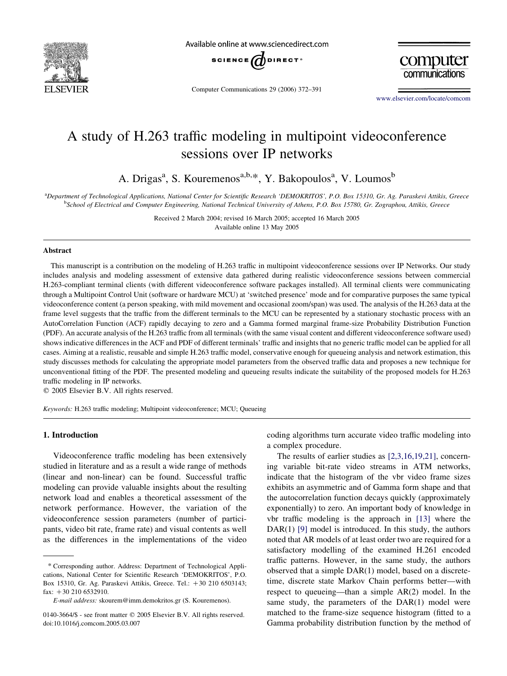

Available online at www.sciencedirect.com



Computer Communications 29 (2006) 372–391

computer communications

[www.elsevier.com/locate/comcom](http://www.elsevier.com/locate/comcom)

# A study of H.263 traffic modeling in multipoint videoconference sessions over IP networks

A. Drigas<sup>a</sup>, S. Kouremenos<sup>a,b,\*</sup>, Y. Bakopoulos<sup>a</sup>, V. Loumos<sup>b</sup>

a<br>Apepartment of Technological Applications, National Center for Scientific Research 'DEMOKRITOS', P.O. Box 15310, Gr. Ag. Paraskevi Attikis, Greece **b**<br>School of Electrical and Computer Engineering, National Technical University of Athens, P.O. Box 15780, Gr. Zographou, Attikis, Greece

> Received 2 March 2004; revised 16 March 2005; accepted 16 March 2005 Available online 13 May 2005

#### Abstract

This manuscript is a contribution on the modeling of H.263 traffic in multipoint videoconference sessions over IP Networks. Our study includes analysis and modeling assessment of extensive data gathered during realistic videoconference sessions between commercial H.263-compliant terminal clients (with different videoconference software packages installed). All terminal clients were communicating through a Multipoint Control Unit (software or hardware MCU) at 'switched presence' mode and for comparative purposes the same typical videoconference content (a person speaking, with mild movement and occasional zoom/span) was used. The analysis of the H.263 data at the frame level suggests that the traffic from the different terminals to the MCU can be represented by a stationary stochastic process with an AutoCorrelation Function (ACF) rapidly decaying to zero and a Gamma formed marginal frame-size Probability Distribution Function (PDF). An accurate analysis of the H.263 traffic from all terminals (with the same visual content and different videoconference software used) shows indicative differences in the ACF and PDF of different terminals' traffic and insights that no generic traffic model can be applied for all cases. Aiming at a realistic, reusable and simple H.263 traffic model, conservative enough for queueing analysis and network estimation, this study discusses methods for calculating the appropriate model parameters from the observed traffic data and proposes a new technique for unconventional fitting of the PDF. The presented modeling and queueing results indicate the suitability of the proposed models for H.263 traffic modeling in IP networks.

 $Q$  2005 Elsevier B.V. All rights reserved.

Keywords: H.263 traffic modeling; Multipoint videoconference; MCU; Queueing

# 1. Introduction

Videoconference traffic modeling has been extensively studied in literature and as a result a wide range of methods (linear and non-linear) can be found. Successful traffic modeling can provide valuable insights about the resulting network load and enables a theoretical assessment of the network performance. However, the variation of the videoconference session parameters (number of participants, video bit rate, frame rate) and visual contents as well as the differences in the implementations of the video

coding algorithms turn accurate video traffic modeling into a complex procedure.

The results of earlier studies as [\[2,3,16,19,21\]](#page-18-0), concerning variable bit-rate video streams in ATM networks, indicate that the histogram of the vbr video frame sizes exhibits an asymmetric and of Gamma form shape and that the autocorrelation function decays quickly (approximately exponentially) to zero. An important body of knowledge in vbr traffic modeling is the approach in [\[13\]](#page-18-0) where the DAR(1) [\[9\]](#page-18-0) model is introduced. In this study, the authors noted that AR models of at least order two are required for a satisfactory modelling of the examined H.261 encoded traffic patterns. However, in the same study, the authors observed that a simple DAR(1) model, based on a discretetime, discrete state Markov Chain performs better—with respect to queueing—than a simple AR(2) model. In the same study, the parameters of the DAR(1) model were matched to the frame-size sequence histogram (fitted to a Gamma probability distribution function by the method of

<sup>\*</sup> Corresponding author. Address: Department of Technological Applications, National Center for Scientific Research 'DEMOKRITOS', P.O. Box 15310, Gr. Ag. Paraskevi Attikis, Greece. Tel.:  $+30$  210 6503143; fax:  $+30$  210 6532910.

E-mail address: skourem@imm.demokritos.gr (S. Kouremenos).

<sup>0140-3664/\$ -</sup> see front matter © 2005 Elsevier B.V. All rights reserved. doi:10.1016/j.comcom.2005.03.007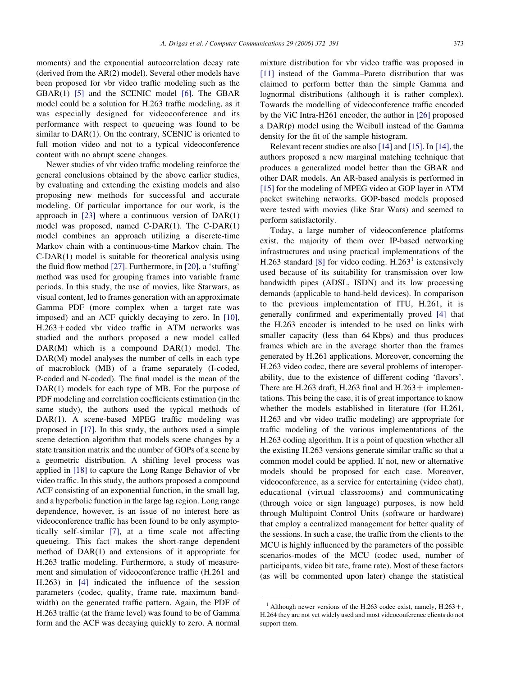moments) and the exponential autocorrelation decay rate (derived from the AR(2) model). Several other models have been proposed for vbr video traffic modeling such as the GBAR(1) [\[5\]](#page-18-0) and the SCENIC model [\[6\]](#page-18-0). The GBAR model could be a solution for H.263 traffic modeling, as it was especially designed for videoconference and its performance with respect to queueing was found to be similar to DAR(1). On the contrary, SCENIC is oriented to full motion video and not to a typical videoconference content with no abrupt scene changes.

Newer studies of vbr video traffic modeling reinforce the general conclusions obtained by the above earlier studies, by evaluating and extending the existing models and also proposing new methods for successful and accurate modeling. Of particular importance for our work, is the approach in [\[23\]](#page-18-0) where a continuous version of DAR(1) model was proposed, named C-DAR(1). The C-DAR(1) model combines an approach utilizing a discrete-time Markov chain with a continuous-time Markov chain. The C-DAR(1) model is suitable for theoretical analysis using the fluid flow method [\[27\].](#page-19-0) Furthermore, in [\[20\]](#page-18-0), a 'stuffing' method was used for grouping frames into variable frame periods. In this study, the use of movies, like Starwars, as visual content, led to frames generation with an approximate Gamma PDF (more complex when a target rate was imposed) and an ACF quickly decaying to zero. In [\[10\]](#page-18-0),  $H.263 + \text{coded}$  vbr video traffic in ATM networks was studied and the authors proposed a new model called DAR(M) which is a compound DAR(1) model. The DAR(M) model analyses the number of cells in each type of macroblock (MB) of a frame separately (I-coded, P-coded and N-coded). The final model is the mean of the DAR(1) models for each type of MB. For the purpose of PDF modeling and correlation coefficients estimation (in the same study), the authors used the typical methods of DAR(1). A scene-based MPEG traffic modeling was proposed in [\[17\]](#page-18-0). In this study, the authors used a simple scene detection algorithm that models scene changes by a state transition matrix and the number of GOPs of a scene by a geometric distribution. A shifting level process was applied in [\[18\]](#page-18-0) to capture the Long Range Behavior of vbr video traffic. In this study, the authors proposed a compound ACF consisting of an exponential function, in the small lag, and a hyperbolic function in the large lag region. Long range dependence, however, is an issue of no interest here as videoconference traffic has been found to be only asymptotically self-similar [\[7\]](#page-18-0), at a time scale not affecting queueing. This fact makes the short-range dependent method of DAR(1) and extensions of it appropriate for H.263 traffic modeling. Furthermore, a study of measurement and simulation of videoconference traffic (H.261 and H.263) in [\[4\]](#page-18-0) indicated the influence of the session parameters (codec, quality, frame rate, maximum bandwidth) on the generated traffic pattern. Again, the PDF of H.263 traffic (at the frame level) was found to be of Gamma form and the ACF was decaying quickly to zero. A normal

mixture distribution for vbr video traffic was proposed in [\[11\]](#page-18-0) instead of the Gamma–Pareto distribution that was claimed to perform better than the simple Gamma and lognormal distributions (although it is rather complex). Towards the modelling of videoconference traffic encoded by the ViC Intra-H261 encoder, the author in [\[26\]](#page-19-0) proposed a DAR(p) model using the Weibull instead of the Gamma density for the fit of the sample histogram.

Relevant recent studies are also [\[14\]](#page-18-0) and [\[15\]](#page-18-0). In [\[14\],](#page-18-0) the authors proposed a new marginal matching technique that produces a generalized model better than the GBAR and other DAR models. An AR-based analysis is performed in [\[15\]](#page-18-0) for the modeling of MPEG video at GOP layer in ATM packet switching networks. GOP-based models proposed were tested with movies (like Star Wars) and seemed to perform satisfactorily.

Today, a large number of videoconference platforms exist, the majority of them over IP-based networking infrastructures and using practical implementations of the H.263 standard [\[8\]](#page-18-0) for video coding.  $H.263<sup>1</sup>$  is extensively used because of its suitability for transmission over low bandwidth pipes (ADSL, ISDN) and its low processing demands (applicable to hand-held devices). In comparison to the previous implementation of ITU, H.261, it is generally confirmed and experimentally proved [\[4\]](#page-18-0) that the H.263 encoder is intended to be used on links with smaller capacity (less than 64 Kbps) and thus produces frames which are in the average shorter than the frames generated by H.261 applications. Moreover, concerning the H.263 video codec, there are several problems of interoperability, due to the existence of different coding 'flavors'. There are H.263 draft, H.263 final and H.263 + implementations. This being the case, it is of great importance to know whether the models established in literature (for H.261, H.263 and vbr video traffic modeling) are appropriate for traffic modeling of the various implementations of the H.263 coding algorithm. It is a point of question whether all the existing H.263 versions generate similar traffic so that a common model could be applied. If not, new or alternative models should be proposed for each case. Moreover, videoconference, as a service for entertaining (video chat), educational (virtual classrooms) and communicating (through voice or sign language) purposes, is now held through Multipoint Control Units (software or hardware) that employ a centralized management for better quality of the sessions. In such a case, the traffic from the clients to the MCU is highly influenced by the parameters of the possible scenarios-modes of the MCU (codec used, number of participants, video bit rate, frame rate). Most of these factors (as will be commented upon later) change the statistical

<sup>&</sup>lt;sup>1</sup> Although newer versions of the H.263 codec exist, namely, H.263 +, H.264 they are not yet widely used and most videoconference clients do not support them.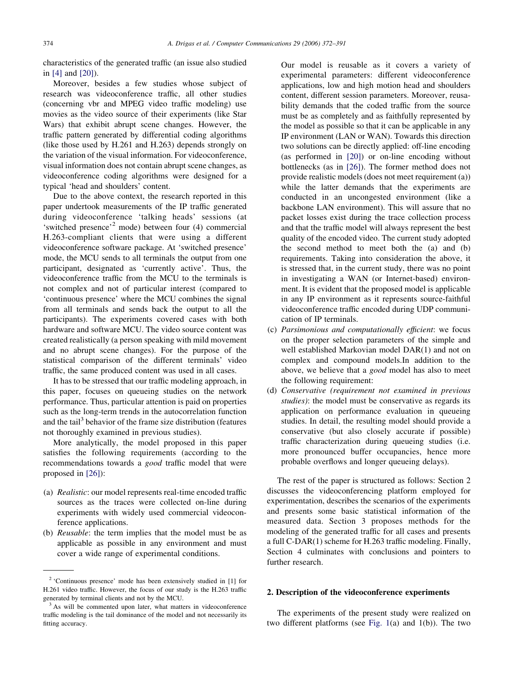characteristics of the generated traffic (an issue also studied in [\[4\]](#page-18-0) and [\[20\]](#page-18-0)).

Moreover, besides a few studies whose subject of research was videoconference traffic, all other studies (concerning vbr and MPEG video traffic modeling) use movies as the video source of their experiments (like Star Wars) that exhibit abrupt scene changes. However, the traffic pattern generated by differential coding algorithms (like those used by H.261 and H.263) depends strongly on the variation of the visual information. For videoconference, visual information does not contain abrupt scene changes, as videoconference coding algorithms were designed for a typical 'head and shoulders' content.

Due to the above context, the research reported in this paper undertook measurements of the IP traffic generated during videoconference 'talking heads' sessions (at 'switched presence'<sup>2</sup> mode) between four (4) commercial H.263-compliant clients that were using a different videoconference software package. At 'switched presence' mode, the MCU sends to all terminals the output from one participant, designated as 'currently active'. Thus, the videoconference traffic from the MCU to the terminals is not complex and not of particular interest (compared to 'continuous presence' where the MCU combines the signal from all terminals and sends back the output to all the participants). The experiments covered cases with both hardware and software MCU. The video source content was created realistically (a person speaking with mild movement and no abrupt scene changes). For the purpose of the statistical comparison of the different terminals' video traffic, the same produced content was used in all cases.

It has to be stressed that our traffic modeling approach, in this paper, focuses on queueing studies on the network performance. Thus, particular attention is paid on properties such as the long-term trends in the autocorrelation function and the tail<sup>3</sup> behavior of the frame size distribution (features not thoroughly examined in previous studies).

More analytically, the model proposed in this paper satisfies the following requirements (according to the recommendations towards a good traffic model that were proposed in [\[26\]\)](#page-19-0):

- (a) Realistic: our model represents real-time encoded traffic sources as the traces were collected on-line during experiments with widely used commercial videoconference applications.
- (b) Reusable: the term implies that the model must be as applicable as possible in any environment and must cover a wide range of experimental conditions.

Our model is reusable as it covers a variety of experimental parameters: different videoconference applications, low and high motion head and shoulders content, different session parameters. Moreover, reusability demands that the coded traffic from the source must be as completely and as faithfully represented by the model as possible so that it can be applicable in any IP environment (LAN or WAN). Towards this direction two solutions can be directly applied: off-line encoding (as performed in [\[20\]](#page-18-0)) or on-line encoding without bottlenecks (as in [\[26\]\)](#page-19-0). The former method does not provide realistic models (does not meet requirement (a)) while the latter demands that the experiments are conducted in an uncongested environment (like a backbone LAN environment). This will assure that no packet losses exist during the trace collection process and that the traffic model will always represent the best quality of the encoded video. The current study adopted the second method to meet both the (a) and (b) requirements. Taking into consideration the above, it is stressed that, in the current study, there was no point in investigating a WAN (or Internet-based) environment. It is evident that the proposed model is applicable in any IP environment as it represents source-faithful videoconference traffic encoded during UDP communication of IP terminals.

- (c) Parsimonious and computationally efficient: we focus on the proper selection parameters of the simple and well established Markovian model DAR(1) and not on complex and compound models.In addition to the above, we believe that a good model has also to meet the following requirement:
- (d) Conservative (requirement not examined in previous studies): the model must be conservative as regards its application on performance evaluation in queueing studies. In detail, the resulting model should provide a conservative (but also closely accurate if possible) traffic characterization during queueing studies (i.e. more pronounced buffer occupancies, hence more probable overflows and longer queueing delays).

The rest of the paper is structured as follows: Section 2 discusses the videoconferencing platform employed for experimentation, describes the scenarios of the experiments and presents some basic statistical information of the measured data. Section 3 proposes methods for the modeling of the generated traffic for all cases and presents a full C-DAR(1) scheme for H.263 traffic modeling. Finally, Section 4 culminates with conclusions and pointers to further research.

#### 2. Description of the videoconference experiments

The experiments of the present study were realized on two different platforms (see Fig.  $1(a)$  and  $1(b)$ ). The two

<sup>2</sup> 'Continuous presence' mode has been extensively studied in [1] for H.261 video traffic. However, the focus of our study is the H.263 traffic generated by terminal clients and not by the MCU.<br><sup>3</sup> As will be commented upon later, what matters in videoconference

traffic modeling is the tail dominance of the model and not necessarily its fitting accuracy.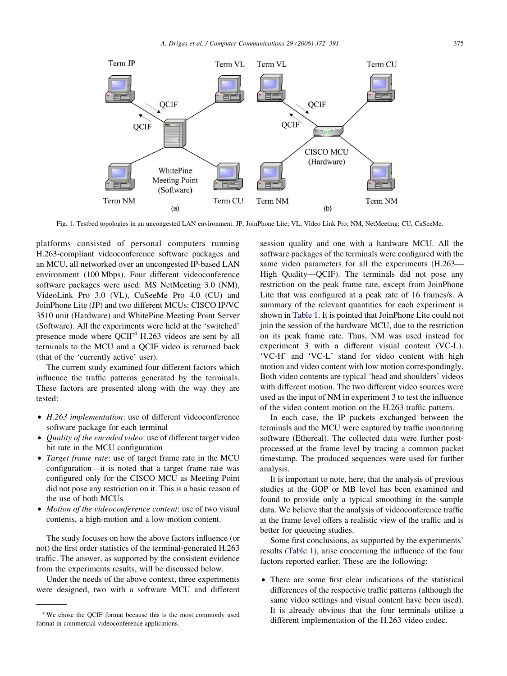<span id="page-3-0"></span>

Fig. 1. Testbed topologies in an uncongested LAN environment. JP, JoinPhone Lite; VL, Video Link Pro; NM, NetMeeting; CU, CuSeeMe.

platforms consisted of personal computers running H.263-compliant videoconference software packages and an MCU, all networked over an uncongested IP-based LAN environment (100 Mbps). Four different videoconference software packages were used: MS NetMeeting 3.0 (NM), VideoLink Pro 3.0 (VL), CuSeeMe Pro 4.0 (CU) and JoinPhone Lite (JP) and two different MCUs: CISCO IP/VC 3510 unit (Hardware) and WhitePine Meeting Point Server (Software). All the experiments were held at the 'switched' presence mode where  $QCIF<sup>4</sup> H.263$  videos are sent by all terminals to the MCU and a QCIF video is returned back (that of the 'currently active' user).

The current study examined four different factors which influence the traffic patterns generated by the terminals. These factors are presented along with the way they are tested:

- H.263 implementation: use of different videoconference software package for each terminal
- *Quality of the encoded video:* use of different target video bit rate in the MCU configuration
- Target frame rate: use of target frame rate in the MCU configuration—it is noted that a target frame rate was configured only for the CISCO MCU as Meeting Point did not pose any restriction on it. This is a basic reason of the use of both MCUs
- Motion of the videoconference content: use of two visual contents, a high-motion and a low-motion content.

The study focuses on how the above factors influence (or not) the first order statistics of the terminal-generated H.263 traffic. The answer, as supported by the consistent evidence from the experiments results, will be discussed below.

Under the needs of the above context, three experiments were designed, two with a software MCU and different session quality and one with a hardware MCU. All the software packages of the terminals were configured with the same video parameters for all the experiments (H.263— High Quality—QCIF). The terminals did not pose any restriction on the peak frame rate, except from JoinPhone Lite that was configured at a peak rate of 16 frames/s. A summary of the relevant quantities for each experiment is shown in [Table 1.](#page-4-0) It is pointed that JoinPhone Lite could not join the session of the hardware MCU, due to the restriction on its peak frame rate. Thus, NM was used instead for experiment 3 with a different visual content (VC-L). 'VC-H' and 'VC-L' stand for video content with high motion and video content with low motion correspondingly. Both video contents are typical 'head and shoulders' videos with different motion. The two different video sources were used as the input of NM in experiment 3 to test the influence of the video content motion on the H.263 traffic pattern.

In each case, the IP packets exchanged between the terminals and the MCU were captured by traffic monitoring software (Ethereal). The collected data were further postprocessed at the frame level by tracing a common packet timestamp. The produced sequences were used for further analysis.

It is important to note, here, that the analysis of previous studies at the GOP or MB level has been examined and found to provide only a typical smoothing in the sample data. We believe that the analysis of videoconference traffic at the frame level offers a realistic view of the traffic and is better for queueing studies.

Some first conclusions, as supported by the experiments' results ([Table 1\)](#page-4-0), arise concerning the influence of the four factors reported earlier. These are the following:

• There are some first clear indications of the statistical differences of the respective traffic patterns (although the same video settings and visual content have been used). It is already obvious that the four terminals utilize a different implementation of the H.263 video codec.

<sup>4</sup> We chose the QCIF format because this is the most commonly used format in commercial videoconference applications.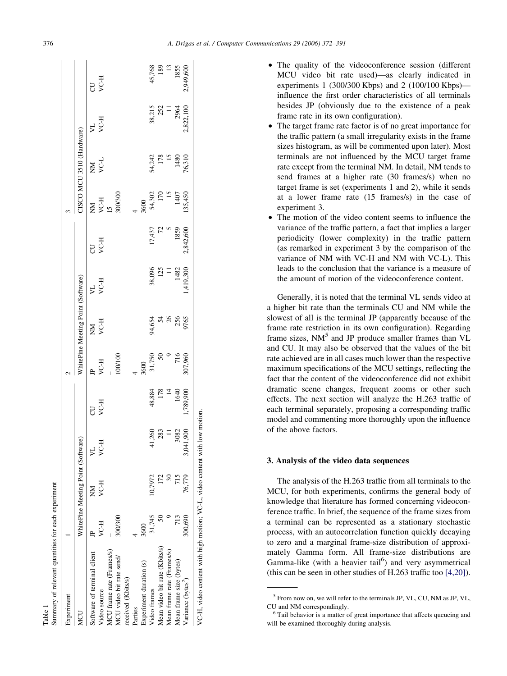<span id="page-4-0"></span>

| Experiment                     |         |                                    |           |                | $\mathbf{\hat{c}}$ |                                    |          |           |                        |                           |                         |                |
|--------------------------------|---------|------------------------------------|-----------|----------------|--------------------|------------------------------------|----------|-----------|------------------------|---------------------------|-------------------------|----------------|
|                                |         | WhitePine Meeting Point (Software) |           |                |                    | WhitePine Meeting Point (Software) |          |           |                        | CISCO MCU 3510 (Hardware) |                         |                |
| Software of terminal client    |         | ŠМ                                 |           |                | 。<br>[             | MN                                 | $\sum$   | <b>P</b>  | Ř                      | $\sum_{i=1}^{n}$          | $\overline{\mathsf{L}}$ |                |
| Video source                   | VC-H    | VC-H                               | VC-H      | VC-H           | VC-H               | VC-H                               | VC-H     | VC-H      | $VCH$<br>15<br>300/300 | VC-L                      | VC-H                    | H DA<br>K      |
| MCU frame rate (Frames/s)      |         |                                    |           |                |                    |                                    |          |           |                        |                           |                         |                |
| MCU video bit rate send/       | 300/300 |                                    |           |                | 100/100            |                                    |          |           |                        |                           |                         |                |
| received (Kbits/s)             |         |                                    |           |                |                    |                                    |          |           |                        |                           |                         |                |
| Parties                        |         |                                    |           |                |                    |                                    |          |           |                        |                           |                         |                |
| Experiment duration (s)        | 3600    |                                    |           |                | 3600               |                                    |          |           | $\frac{4}{3600}$       |                           |                         |                |
| Video frames                   | 31.745  | 10,7972                            | 41,260    | 48,884         | 31,750             | 94,654                             | 38,096   | 17,437    | 54,302<br>170          | 54,242                    | 38,215                  | 45,768         |
| Mean video bit rate (Kbits/s)  |         | 172                                | 283       | 178            | $\overline{50}$    |                                    | 125      |           |                        | 178                       | 252                     | 189            |
| Mean frame rate (Frames/s)     |         |                                    | $\equiv$  | $\overline{1}$ |                    | 54                                 |          |           |                        | $\frac{5}{2}$             | $\bar{=}$               | $\mathfrak{u}$ |
| Mean frame size (bytes)        |         | 715                                | 3082      | 1640           | $^{9}$ 16          | 256                                | 1482     | 1859      | 1407                   | 1480                      | 2964                    | 1855           |
| Variance (bytes <sup>2</sup> ) | 300,690 | 76,779                             | 3,041,900 | 1,789,900      | 307,960            | 9765                               | ,419,300 | 2,842,600 | 135,450                | 76,310                    | 2,822,100               | 2,949,600      |

• The quality of the videoconference session (different MCU video bit rate used)—as clearly indicated in experiments 1 (300/300 Kbps) and 2 (100/100 Kbps) influence the first order characteristics of all terminals besides JP (obviously due to the existence of a peak frame rate in its own configuration).

- The target frame rate factor is of no great importance for the traffic pattern (a small irregularity exists in the frame sizes histogram, as will be commented upon later). Most terminals are not influenced by the MCU target frame rate except from the terminal NM. In detail, NM tends to send frames at a higher rate (30 frames/s) when no target frame is set (experiments 1 and 2), while it sends at a lower frame rate (15 frames/s) in the case of experiment 3.
- The motion of the video content seems to influence the variance of the traffic pattern, a fact that implies a larger periodicity (lower complexity) in the traffic pattern (as remarked in experiment 3 by the comparison of the variance of NM with VC-H and NM with VC-L). This leads to the conclusion that the variance is a measure of the amount of motion of the videoconference content.

Generally, it is noted that the terminal VL sends video at a higher bit rate than the terminals CU and NM while the slowest of all is the terminal JP (apparently because of the frame rate restriction in its own configuration). Regarding frame sizes,  $NM<sup>5</sup>$  and JP produce smaller frames than VL and CU. It may also be observed that the values of the bit rate achieved are in all cases much lower than the respective maximum specifications of the MCU settings, reflecting the fact that the content of the videoconference did not exhibit dramatic scene changes, frequent zooms or other such effects. The next section will analyze the H.263 traffic of each terminal separately, proposing a corresponding traffic model and commenting more thoroughly upon the influence of the above factors.

# 3. Analysis of the video data sequences

The analysis of the H.263 traffic from all terminals to the MCU, for both experiments, confirms the general body of knowledge that literature has formed concerning videoconference traffic. In brief, the sequence of the frame sizes from a terminal can be represented as a stationary stochastic process, with an autocorrelation function quickly decaying to zero and a marginal frame-size distribution of approximately Gamma form. All frame-size distributions are Gamma-like (with a heavier tail<sup>6</sup>) and very asymmetrical (this can be seen in other studies of H.263 traffic too [\[4,20\]\)](#page-18-0).

Table 1

<sup>5</sup> From now on, we will refer to the terminals JP, VL, CU, NM as JP, VL, CU and NM correspondingly. <sup>6</sup> Tail behavior is a matter of great importance that affects queueing and

will be examined thoroughly during analysis.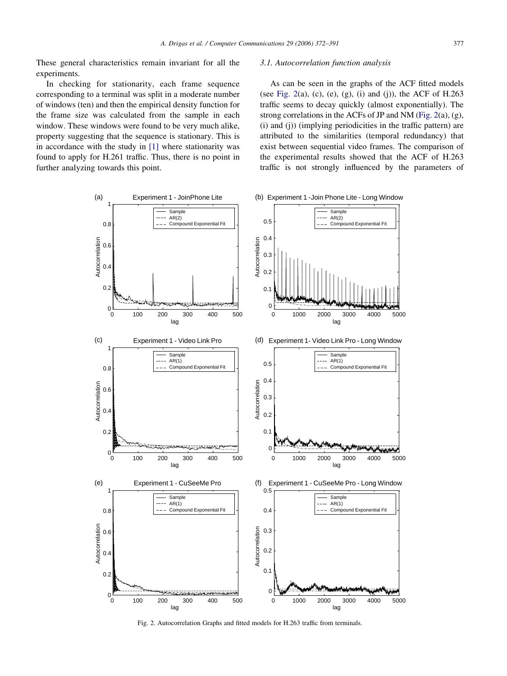These general characteristics remain invariant for all the experiments.

In checking for stationarity, each frame sequence corresponding to a terminal was split in a moderate number of windows (ten) and then the empirical density function for the frame size was calculated from the sample in each window. These windows were found to be very much alike, property suggesting that the sequence is stationary. This is in accordance with the study in [\[1\]](#page-18-0) where stationarity was found to apply for H.261 traffic. Thus, there is no point in further analyzing towards this point.

#### 3.1. Autocorrelation function analysis

As can be seen in the graphs of the ACF fitted models (see Fig. 2(a), (c), (e), (g), (i) and (j)), the ACF of H.263 traffic seems to decay quickly (almost exponentially). The strong correlations in the ACFs of JP and NM (Fig. 2(a), (g), (i) and (j)) (implying periodicities in the traffic pattern) are attributed to the similarities (temporal redundancy) that exist between sequential video frames. The comparison of the experimental results showed that the ACF of H.263 traffic is not strongly influenced by the parameters of



Fig. 2. Autocorrelation Graphs and fitted models for H.263 traffic from terminals.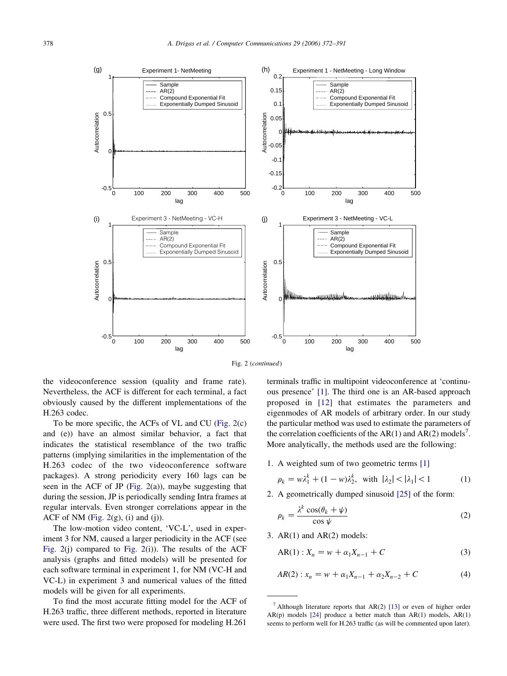

Fig. 2 (continued)

the videoconference session (quality and frame rate). Nevertheless, the ACF is different for each terminal, a fact obviously caused by the different implementations of the H.263 codec.

To be more specific, the ACFs of VL and CU (Fig. 2(c) and (e)) have an almost similar behavior, a fact that indicates the statistical resemblance of the two traffic patterns (implying similarities in the implementation of the H.263 codec of the two videoconference software packages). A strong periodicity every 160 lags can be seen in the ACF of JP (Fig.  $2(a)$ ), maybe suggesting that during the session, JP is periodically sending Intra frames at regular intervals. Even stronger correlations appear in the ACF of NM (Fig.  $2(g)$ , (i) and (j)).

The low-motion video content, 'VC-L', used in experiment 3 for NM, caused a larger periodicity in the ACF (see Fig. 2(j) compared to Fig. 2(i)). The results of the ACF analysis (graphs and fitted models) will be presented for each software terminal in experiment 1, for NM (VC-H and VC-L) in experiment 3 and numerical values of the fitted models will be given for all experiments.

To find the most accurate fitting model for the ACF of H.263 traffic, three different methods, reported in literature were used. The first two were proposed for modeling H.261 terminals traffic in multipoint videoconference at 'continuous presence' [\[1\]](#page-18-0). The third one is an AR-based approach proposed in [\[12\]](#page-18-0) that estimates the parameters and eigenmodes of AR models of arbitrary order. In our study the particular method was used to estimate the parameters of the correlation coefficients of the AR(1) and AR(2) models<sup>7</sup>. More analytically, the methods used are the following:

1. A weighted sum of two geometric terms [\[1\]](#page-18-0)

$$
\rho_k = w\lambda_1^k + (1 - w)\lambda_2^k, \quad \text{with} \quad |\lambda_2| < |\lambda_1| < 1 \tag{1}
$$

2. A geometrically dumped sinusoid [\[25\]](#page-18-0) of the form:

$$
\rho_k = \frac{\lambda^k \cos(\theta_k + \psi)}{\cos \psi} \tag{2}
$$

3.  $AR(1)$  and  $AR(2)$  models:

$$
AR(1): X_n = w + \alpha_1 X_{n-1} + C
$$
 (3)

$$
AR(2): x_n = w + \alpha_1 X_{n-1} + \alpha_2 X_{n-2} + C \tag{4}
$$

<sup>&</sup>lt;sup>7</sup> Although literature reports that AR(2) [\[13\]](#page-18-0) or even of higher order  $AR(p)$  models [\[24\]](#page-18-0) produce a better match than  $AR(1)$  models,  $AR(1)$ seems to perform well for H.263 traffic (as will be commented upon later).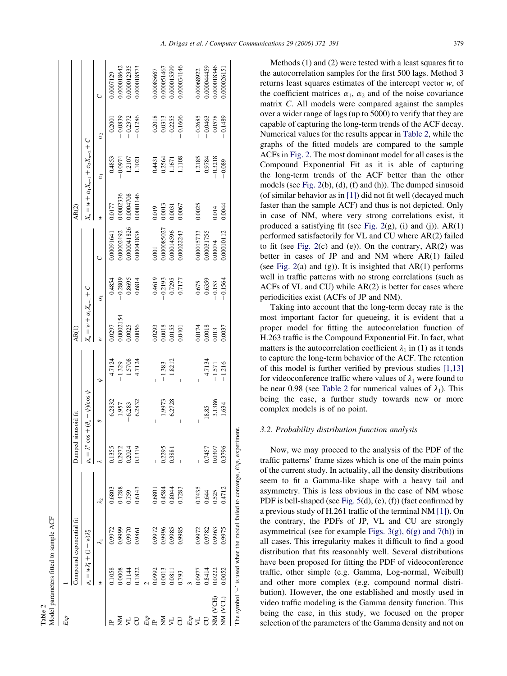|        | г.<br>fitted to sample  |
|--------|-------------------------|
|        |                         |
|        |                         |
| able 2 | arameters<br>۲<br>lode. |

|                                       |     | Dumped sinusoid fit   | $\rho_{\kappa} = \lambda^{\kappa} \cos + (\theta_{\kappa} - \psi) / \cos \psi$ |
|---------------------------------------|-----|-----------------------|--------------------------------------------------------------------------------|
| Aodel parameters fitted to sample ACF |     | ompound exponential 1 | $\rho_k = w\lambda_1^{\kappa} + (1 - w)\lambda_2^{\kappa}$                     |
|                                       | Eхр |                       |                                                                                |

<span id="page-7-0"></span>

|              |                                                                   | Compound exponential fit |        | Dunnped | sinusoid fit                                                                   |                  | AR(1)                                                               |                                                          |             | AR(2)     |                                                     |                                                 |             |
|--------------|-------------------------------------------------------------------|--------------------------|--------|---------|--------------------------------------------------------------------------------|------------------|---------------------------------------------------------------------|----------------------------------------------------------|-------------|-----------|-----------------------------------------------------|-------------------------------------------------|-------------|
|              | $\rho_{\kappa} = w\lambda_1^{\kappa} + (1 - w)\lambda_2^{\kappa}$ |                          |        |         | $\rho_{\kappa} = \lambda^{\kappa} \cos + (\theta_{\kappa} - \psi) / \cos \psi$ |                  | $X_n = w + \alpha_1 X_{n-1} + C$                                    |                                                          |             |           | $X_n = w + \alpha_1 X_{n-1} + \alpha_2 X_{n-2} + C$ |                                                 |             |
|              |                                                                   | $\overline{z}$           | L2     |         | Φ                                                                              | ⇒                |                                                                     | $\alpha_1$                                               |             |           | $\alpha_1$                                          | $\alpha$                                        |             |
|              | 0.1058                                                            | 0.9972                   | 0.6803 | 0.1355  | 6.2832                                                                         | 4.7124           | 0.0297                                                              | 0.4854                                                   | 1900091641  | 0.0177    | 0.4853                                              | 0.2001                                          | 0.0007129   |
| Σ            | 0.0008                                                            | 0.9999                   | 0.4288 | 0.2972  | 1.957                                                                          | $-1.329$         | 0.0002154                                                           | $-0.2809$                                                | 0.00002492  | 0.0002336 | $-0.0974$                                           | $-0.0839$                                       | 0.000018642 |
| <b>Z</b>     | 0.1144                                                            | 0.9970                   | 0.759  | 0.2024  | $-6.283$                                                                       | 1.5708<br>4.7124 | 0.0025                                                              | 0.8695                                                   | 0.000041826 | 0.0004708 | 1.2107                                              |                                                 | 0.000012335 |
|              | 0.1822                                                            | 0.9861                   | 0.6143 | 0.1319  | 6.2832                                                                         |                  | 0.0056                                                              | 0.6814                                                   | 0.00041838  | 0.0001146 | 1.1021                                              | $-0.2372$<br>$-0.1286$                          | 0.000018572 |
| Eхр          |                                                                   |                          |        |         |                                                                                |                  |                                                                     |                                                          |             |           |                                                     |                                                 |             |
| $\triangleq$ | 1.0992                                                            | 0.9972                   | 0.6801 |         |                                                                                |                  |                                                                     | 0.4619                                                   | 0.001       | 0.019     |                                                     |                                                 | 1,00085667  |
| Σ            | 0.0013                                                            | 0.9996                   | 0.4584 | 0.2295  | 1.9973                                                                         | $-1.383$         | $\begin{array}{c} 0.0293 \\ 0.0018 \\ 0.0155 \\ 0.0401 \end{array}$ | $-0.2193$<br>0.7295<br>0.7177                            | 0.000085027 | 0.0013    | 0.4431<br>0.2564<br>1.1671                          | $\begin{array}{c} 0.2018 \\ 0.0313 \end{array}$ | 0.000051467 |
| $\nabla$     | 0.0811                                                            | 0.9985                   | 0.8044 | 0.3881  | 6.2728                                                                         | 1.8212           |                                                                     |                                                          | 1.00014596  | 0.0031    |                                                     |                                                 | 0.000015599 |
| 5            | 0.793                                                             | 0.9985                   | 0.7283 |         |                                                                                |                  |                                                                     |                                                          | 0.00022243  | 0.0067    | 1.1108                                              | $-0.2255$<br>$-0.1606$                          | 0000034146  |
| Exp          |                                                                   |                          |        |         |                                                                                |                  |                                                                     |                                                          |             |           |                                                     |                                                 |             |
| ξ            | 0.0977                                                            | 0.9972                   | 0.7435 |         |                                                                                |                  |                                                                     |                                                          | 0.00015733  | 0.0025    | 1.2185                                              |                                                 | 1.00068922  |
|              | 0.8414                                                            | 0.9782                   | 0.644  | 0.7457  | 18.85                                                                          | 4.7134           | $\begin{array}{c} 0.0174 \\ 0.0018 \\ 0.013 \end{array}$            | $\begin{array}{c} 0.675 \\ 0.6359 \\ -0.153 \end{array}$ | 0.00031755  |           | 0.9784                                              | $-0.2685$<br>$-0.0463$                          | 0.00004459  |
| NM (VCH)     | 0.0222                                                            | 0.9963                   | 0.525  | 0.0307  | 3.1386                                                                         | $-1.571$         |                                                                     |                                                          | 1.00074     | 0.014     | $-0.3218$                                           | 0.0578                                          | 0.000018346 |
| NM (VCL)     | 0.0052                                                            | 0.9975                   | 0.4712 | 0.3796  | 1.634                                                                          | $-1.216$         | 0.0037                                                              | $-0.1564$                                                | 0.00010112  | 0.0044    | $-0.089$                                            | $-0.1489$                                       | 0.00002615  |

Methods (1) and (2) were tested with a least squares fit to the autocorrelation samples for the first 500 lags. Method 3 returns least squares estimates of the intercept vector  $w$ , of the coefficient matrices  $\alpha_1$ ,  $\alpha_2$  and of the noise covariance matrix C. All models were compared against the samples over a wider range of lags (up to 5000) to verify that they are capable of capturing the long-term trends of the ACF decay. Numerical values for the results appear in Table 2, while the graphs of the fitted models are compared to the sample ACFs in Fig. 2. The most dominant model for all cases is the Compound Exponential Fit as it is able of capturing the long-term trends of the ACF better than the other models (see Fig. 2(b), (d), (f) and (h)). The dumped sinusoid (of similar behavior as in [\[1\]\)](#page-18-0) did not fit well (decayed much faster than the sample ACF) and thus is not depicted. Only in case of NM, where very strong correlations exist, it produced a satisfying fit (see Fig. 2(g), (i) and (j)).  $AR(1)$ performed satisfactorily for VL and CU where AR(2) failed to fit (see Fig.  $2(c)$  and  $(e)$ ). On the contrary,  $AR(2)$  was better in cases of JP and and NM where AR(1) failed (see Fig. 2(a) and (g)). It is insighted that  $AR(1)$  performs well in traffic patterns with no strong correlations (such as ACFs of VL and CU) while AR(2) is better for cases where periodicities exist (ACFs of JP and NM).

Taking into account that the long-term decay rate is the most important factor for queueing, it is evident that a proper model for fitting the autocorrelation function of H.263 traffic is the Compound Exponential Fit. In fact, what matters is the autocorrelation coefficient  $\lambda_1$  in (1) as it tends to capture the long-term behavior of the ACF. The retention of this model is further verified by previous studies [\[1,13\]](#page-18-0) for videoconference traffic where values of  $\lambda_1$  were found to be near 0.98 (see Table 2 for numerical values of  $\lambda_1$ ). This being the case, a further study towards new or more complex models is of no point.

## 3.2. Probability distribution function analysis

Now, we may proceed to the analysis of the PDF of the traffic patterns' frame sizes which is one of the main points of the current study. In actuality, all the density distributions seem to fit a Gamma-like shape with a heavy tail and asymmetry. This is less obvious in the case of NM whose PDF is bell-shaped (see [Fig. 5](#page-13-0)(d), (e), (f)) (fact confirmed by a previous study of H.261 traffic of the terminal NM [\[1\]\)](#page-18-0). On the contrary, the PDFs of JP, VL and CU are strongly asymmetrical (see for example Figs.  $3(g)$ ,  $6(g)$  and  $7(h)$ ) in all cases. This irregularity makes it difficult to find a good distribution that fits reasonably well. Several distributions have been proposed for fitting the PDF of videoconference traffic, other simple (e.g. Gamma, Log-normal, Weibull) and other more complex (e.g. compound normal distribution). However, the one established and mostly used in video traffic modeling is the Gamma density function. This being the case, in this study, we focused on the proper selection of the parameters of the Gamma density and not on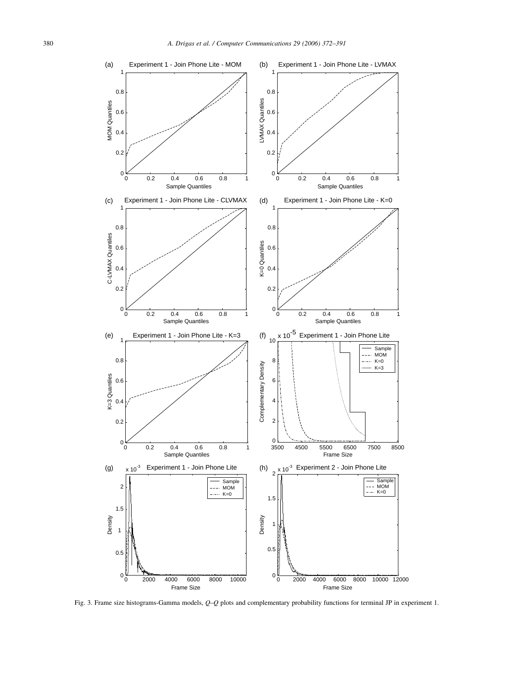<span id="page-8-0"></span>

Fig. 3. Frame size histograms-Gamma models,  $Q-Q$  plots and complementary probability functions for terminal JP in experiment 1.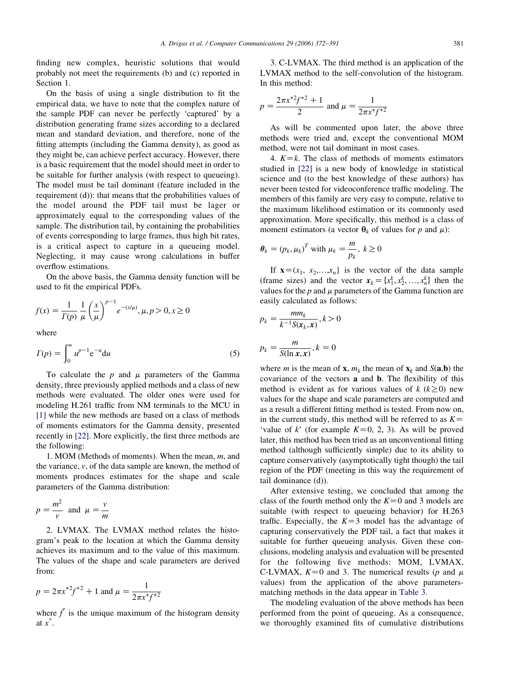finding new complex, heuristic solutions that would probably not meet the requirements (b) and (c) reported in Section 1.

On the basis of using a single distribution to fit the empirical data, we have to note that the complex nature of the sample PDF can never be perfectly 'captured' by a distribution generating frame sizes according to a declared mean and standard deviation, and therefore, none of the fitting attempts (including the Gamma density), as good as they might be, can achieve perfect accuracy. However, there is a basic requirement that the model should meet in order to be suitable for further analysis (with respect to queueing). The model must be tail dominant (feature included in the requirement (d)): that means that the probabilities values of the model around the PDF tail must be lager or approximately equal to the corresponding values of the sample. The distribution tail, by containing the probabilities of events corresponding to large frames, thus high bit rates, is a critical aspect to capture in a queueing model. Neglecting, it may cause wrong calculations in buffer overflow estimations.

On the above basis, the Gamma density function will be used to fit the empirical PDFs.

$$
f(x) = \frac{1}{\Gamma(p)} \frac{1}{\mu} \left(\frac{x}{\mu}\right)^{p-1} e^{-(x/\mu)}, \mu, p > 0, x \ge 0
$$

where

$$
\Gamma(p) = \int_0^\infty u^{p-1} e^{-u} du \tag{5}
$$

To calculate the  $p$  and  $\mu$  parameters of the Gamma density, three previously applied methods and a class of new methods were evaluated. The older ones were used for modeling H.261 traffic from NM terminals to the MCU in [\[1\]](#page-18-0) while the new methods are based on a class of methods of moments estimators for the Gamma density, presented recently in [\[22\].](#page-18-0) More explicitly, the first three methods are the following:

1. MOM (Methods of moments). When the mean,  $m$ , and the variance, v, of the data sample are known, the method of moments produces estimates for the shape and scale parameters of the Gamma distribution:

$$
p = \frac{m^2}{v}
$$
 and  $\mu = \frac{v}{m}$ 

2. LVMAX. The LVMAX method relates the histogram's peak to the location at which the Gamma density achieves its maximum and to the value of this maximum. The values of the shape and scale parameters are derived from:

$$
p = 2\pi x^{*2} f^{*2} + 1
$$
 and  $\mu = \frac{1}{2\pi x^{*} f^{*2}}$ 

where  $f^*$  is the unique maximum of the histogram density at  $x^*$ .

3. C-LVMAX. The third method is an application of the LVMAX method to the self-convolution of the histogram. In this method:

$$
p = \frac{2\pi x^{*2} f^{*2} + 1}{2}
$$
 and  $\mu = \frac{1}{2\pi x^{*} f^{*2}}$ 

As will be commented upon later, the above three methods were tried and, except the conventional MOM method, were not tail dominant in most cases.

4.  $K=k$ . The class of methods of moments estimators studied in [\[22\]](#page-18-0) is a new body of knowledge in statistical science and (to the best knowledge of these authors) has never been tested for videoconference traffic modeling. The members of this family are very easy to compute, relative to the maximum likelihood estimation or its commonly used approximation. More specifically, this method is a class of moment estimators (a vector  $\theta_k$  of values for p and  $\mu$ ):

$$
\boldsymbol{\theta}_k = (p_k, \mu_k)^T \text{ with } \mu_k = \frac{m}{p_k}, \ k \ge 0
$$

If  $\mathbf{x}=(x_1, x_2,...,x_n)$  is the vector of the data sample (frame sizes) and the vector  $x_k = \{x_1^k, x_2^k, \ldots, x_n^k\}$  then the values for the  $p$  and  $\mu$  parameters of the Gamma function are easily calculated as follows:

$$
p_k = \frac{mm_k}{k^{-1}S(\mathbf{x}_k, \mathbf{x})}, k > 0
$$

$$
p_k = \frac{m}{S(\ln \mathbf{x}, \mathbf{x})}, k = 0
$$

where *m* is the mean of **x**,  $m_k$  the mean of  $\mathbf{x}_k$  and  $S(\mathbf{a}, \mathbf{b})$  the covariance of the vectors a and b. The flexibility of this method is evident as for various values of  $k (k \ge 0)$  new values for the shape and scale parameters are computed and as a result a different fitting method is tested. From now on, in the current study, this method will be referred to as  $K=$ 'value of k' (for example  $K=0, 2, 3$ ). As will be proved later, this method has been tried as an unconventional fitting method (although sufficiently simple) due to its ability to capture conservatively (asymptotically tight though) the tail region of the PDF (meeting in this way the requirement of tail dominance (d)).

After extensive testing, we concluded that among the class of the fourth method only the  $K=0$  and 3 models are suitable (with respect to queueing behavior) for H.263 traffic. Especially, the  $K=3$  model has the advantage of capturing conservatively the PDF tail, a fact that makes it suitable for further queueing analysis. Given these conclusions, modeling analysis and evaluation will be presented for the following five methods: MOM, LVMAX, C-LVMAX,  $K=0$  and 3. The numerical results (p and  $\mu$ values) from the application of the above parametersmatching methods in the data appear in [Table 3.](#page-10-0)

The modeling evaluation of the above methods has been performed from the point of queueing. As a consequence, we thoroughly examined fits of cumulative distributions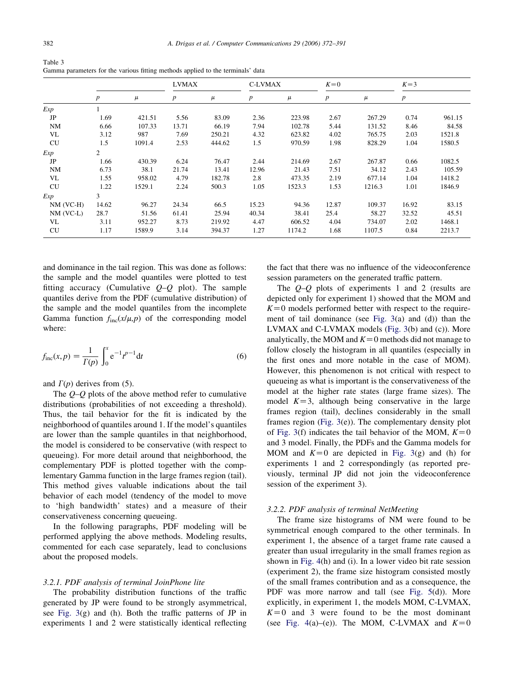<span id="page-10-0"></span>

| Table 3                                                                         |  |
|---------------------------------------------------------------------------------|--|
| Gamma parameters for the various fitting methods applied to the terminals' data |  |

|             |                  |        | <b>LVMAX</b>     |        | C-LVMAX          |        | $K=0$            |        | $K=3$            |        |
|-------------|------------------|--------|------------------|--------|------------------|--------|------------------|--------|------------------|--------|
|             | $\boldsymbol{p}$ | $\mu$  | $\boldsymbol{p}$ | $\mu$  | $\boldsymbol{p}$ | $\mu$  | $\boldsymbol{p}$ | $\mu$  | $\boldsymbol{p}$ |        |
| Exp         |                  |        |                  |        |                  |        |                  |        |                  |        |
| JP          | 1.69             | 421.51 | 5.56             | 83.09  | 2.36             | 223.98 | 2.67             | 267.29 | 0.74             | 961.15 |
| <b>NM</b>   | 6.66             | 107.33 | 13.71            | 66.19  | 7.94             | 102.78 | 5.44             | 131.52 | 8.46             | 84.58  |
| VL          | 3.12             | 987    | 7.69             | 250.21 | 4.32             | 623.82 | 4.02             | 765.75 | 2.03             | 1521.8 |
| <b>CU</b>   | 1.5              | 1091.4 | 2.53             | 444.62 | 1.5              | 970.59 | 1.98             | 828.29 | 1.04             | 1580.5 |
| Exp         | $\overline{2}$   |        |                  |        |                  |        |                  |        |                  |        |
| JP          | 1.66             | 430.39 | 6.24             | 76.47  | 2.44             | 214.69 | 2.67             | 267.87 | 0.66             | 1082.5 |
| <b>NM</b>   | 6.73             | 38.1   | 21.74            | 13.41  | 12.96            | 21.43  | 7.51             | 34.12  | 2.43             | 105.59 |
| VL          | 1.55             | 958.02 | 4.79             | 182.78 | 2.8              | 473.35 | 2.19             | 677.14 | 1.04             | 1418.2 |
| <b>CU</b>   | 1.22             | 1529.1 | 2.24             | 500.3  | 1.05             | 1523.3 | 1.53             | 1216.3 | 1.01             | 1846.9 |
| Exp         | 3                |        |                  |        |                  |        |                  |        |                  |        |
| $NM$ (VC-H) | 14.62            | 96.27  | 24.34            | 66.5   | 15.23            | 94.36  | 12.87            | 109.37 | 16.92            | 83.15  |
| $NM$ (VC-L) | 28.7             | 51.56  | 61.41            | 25.94  | 40.34            | 38.41  | 25.4             | 58.27  | 32.52            | 45.51  |
| VL          | 3.11             | 952.27 | 8.73             | 219.92 | 4.47             | 606.52 | 4.04             | 734.07 | 2.02             | 1468.1 |
| <b>CU</b>   | 1.17             | 1589.9 | 3.14             | 394.37 | 1.27             | 1174.2 | 1.68             | 1107.5 | 0.84             | 2213.7 |

and dominance in the tail region. This was done as follows: the sample and the model quantiles were plotted to test fitting accuracy (Cumulative  $Q-Q$  plot). The sample quantiles derive from the PDF (cumulative distribution) of the sample and the model quantiles from the incomplete Gamma function  $f_{\text{inc}}(x/\mu, p)$  of the corresponding model where:

$$
f_{\text{inc}}(x, p) = \frac{1}{\Gamma(p)} \int_0^x e^{-1} t^{p-1} dt
$$
 (6)

and  $\Gamma(p)$  derives from (5).

The  $Q-Q$  plots of the above method refer to cumulative distributions (probabilities of not exceeding a threshold). Thus, the tail behavior for the fit is indicated by the neighborhood of quantiles around 1. If the model's quantiles are lower than the sample quantiles in that neighborhood, the model is considered to be conservative (with respect to queueing). For more detail around that neighborhood, the complementary PDF is plotted together with the complementary Gamma function in the large frames region (tail). This method gives valuable indications about the tail behavior of each model (tendency of the model to move to 'high bandwidth' states) and a measure of their conservativeness concerning queueing.

In the following paragraphs, PDF modeling will be performed applying the above methods. Modeling results, commented for each case separately, lead to conclusions about the proposed models.

#### 3.2.1. PDF analysis of terminal JoinPhone lite

The probability distribution functions of the traffic generated by JP were found to be strongly asymmetrical, see Fig.  $3(g)$  and (h). Both the traffic patterns of JP in experiments 1 and 2 were statistically identical reflecting the fact that there was no influence of the videoconference session parameters on the generated traffic pattern.

The  $Q-Q$  plots of experiments 1 and 2 (results are depicted only for experiment 1) showed that the MOM and  $K=0$  models performed better with respect to the requirement of tail dominance (see [Fig. 3\(](#page-8-0)a) and (d)) than the LVMAX and C-LVMAX models [\(Fig. 3](#page-8-0)(b) and (c)). More analytically, the MOM and  $K=0$  methods did not manage to follow closely the histogram in all quantiles (especially in the first ones and more notable in the case of MOM). However, this phenomenon is not critical with respect to queueing as what is important is the conservativeness of the model at the higher rate states (large frame sizes). The model  $K=3$ , although being conservative in the large frames region (tail), declines considerably in the small frames region [\(Fig. 3](#page-8-0)(e)). The complementary density plot of [Fig. 3\(](#page-8-0)f) indicates the tail behavior of the MOM,  $K=0$ and 3 model. Finally, the PDFs and the Gamma models for MOM and  $K=0$  are depicted in [Fig. 3](#page-8-0)(g) and (h) for experiments 1 and 2 correspondingly (as reported previously, terminal JP did not join the videoconference session of the experiment 3).

#### 3.2.2. PDF analysis of terminal NetMeeting

The frame size histograms of NM were found to be symmetrical enough compared to the other terminals. In experiment 1, the absence of a target frame rate caused a greater than usual irregularity in the small frames region as shown in Fig. 4(h) and (i). In a lower video bit rate session (experiment 2), the frame size histogram consisted mostly of the small frames contribution and as a consequence, the PDF was more narrow and tall (see [Fig. 5\(](#page-13-0)d)). More explicitly, in experiment 1, the models MOM, C-LVMAX,  $K=0$  and 3 were found to be the most dominant (see Fig. 4(a)–(e)). The MOM, C-LVMAX and  $K=0$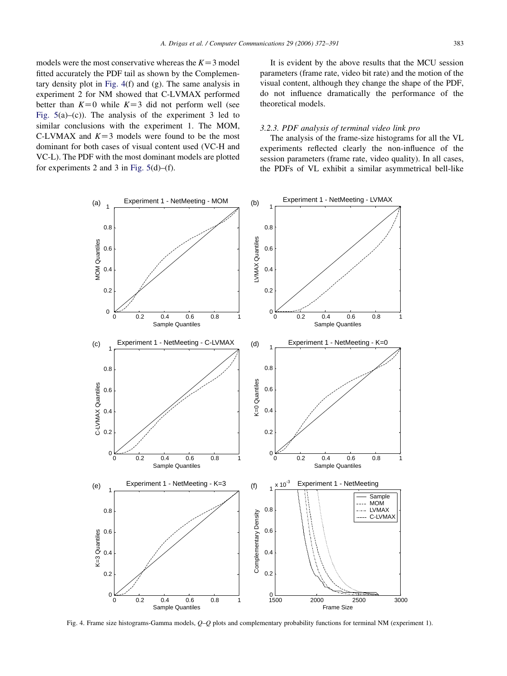models were the most conservative whereas the  $K=3$  model fitted accurately the PDF tail as shown by the Complementary density plot in Fig. 4(f) and (g). The same analysis in experiment 2 for NM showed that C-LVMAX performed better than  $K=0$  while  $K=3$  did not perform well (see Fig.  $5(a)$ –(c)). The analysis of the experiment 3 led to similar conclusions with the experiment 1. The MOM, C-LVMAX and  $K=3$  models were found to be the most dominant for both cases of visual content used (VC-H and VC-L). The PDF with the most dominant models are plotted for experiments 2 and 3 in Fig.  $5(d)$ –(f).

It is evident by the above results that the MCU session parameters (frame rate, video bit rate) and the motion of the visual content, although they change the shape of the PDF, do not influence dramatically the performance of the theoretical models.

# 3.2.3. PDF analysis of terminal video link pro

The analysis of the frame-size histograms for all the VL experiments reflected clearly the non-influence of the session parameters (frame rate, video quality). In all cases, the PDFs of VL exhibit a similar asymmetrical bell-like



Fig. 4. Frame size histograms-Gamma models,  $Q-Q$  plots and complementary probability functions for terminal NM (experiment 1).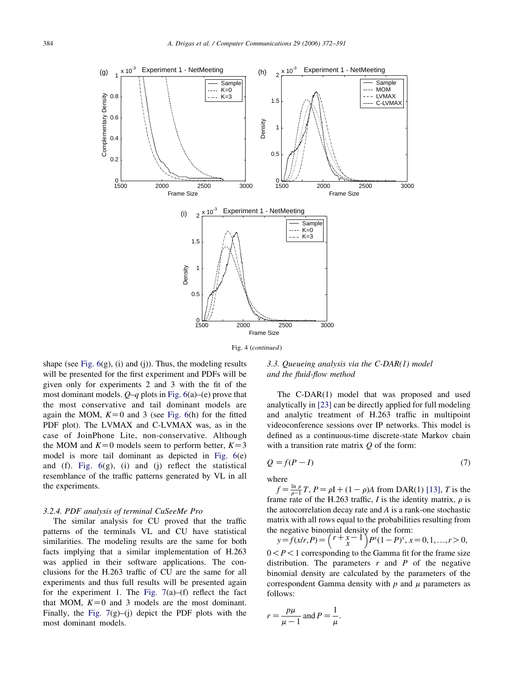

Fig. 4 (continued)

shape (see Fig.  $6(g)$ , (i) and (j)). Thus, the modeling results will be presented for the first experiment and PDFs will be given only for experiments 2 and 3 with the fit of the most dominant models.  $Q-q$  plots in Fig. 6(a)–(e) prove that the most conservative and tail dominant models are again the MOM,  $K=0$  and 3 (see Fig. 6(h) for the fitted PDF plot). The LVMAX and C-LVMAX was, as in the case of JoinPhone Lite, non-conservative. Although the MOM and  $K=0$  models seem to perform better,  $K=3$ model is more tail dominant as depicted in Fig. 6(e) and (f). Fig. 6(g), (i) and (j) reflect the statistical resemblance of the traffic patterns generated by VL in all the experiments.

#### 3.2.4. PDF analysis of terminal CuSeeMe Pro

The similar analysis for CU proved that the traffic patterns of the terminals VL and CU have statistical similarities. The modeling results are the same for both facts implying that a similar implementation of H.263 was applied in their software applications. The conclusions for the H.263 traffic of CU are the same for all experiments and thus full results will be presented again for the experiment 1. The Fig.  $7(a)$ –(f) reflect the fact that MOM,  $K=0$  and 3 models are the most dominant. Finally, the Fig.  $7(g)$ –(j) depict the PDF plots with the most dominant models.

# 3.3. Queueing analysis via the C-DAR(1) model and the fluid-flow method

The C-DAR(1) model that was proposed and used analytically in [\[23\]](#page-18-0) can be directly applied for full modeling and analytic treatment of H.263 traffic in multipoint videoconference sessions over IP networks. This model is defined as a continuous-time discrete-state Markov chain with a transition rate matrix  $Q$  of the form:

$$
Q = f(P - I) \tag{7}
$$

where

 $f = \frac{\ln \rho}{\rho - 1} T$ ,  $P = \rho I + (1 - \rho)A$  from DAR(1) [\[13\]](#page-18-0), T is the frame rate of the H.263 traffic, I is the identity matrix,  $\rho$  is the autocorrelation decay rate and A is a rank-one stochastic matrix with all rows equal to the probabilities resulting from

the negative binomial density of the form:  
\n
$$
y = f(x/r, P) = {r + x - 1 \choose x} P^x (1 - P)^x, x = 0, 1, ..., r > 0,
$$

 $0 < P < 1$  corresponding to the Gamma fit for the frame size distribution. The parameters  $r$  and  $P$  of the negative binomial density are calculated by the parameters of the correspondent Gamma density with  $p$  and  $\mu$  parameters as follows:

$$
r = \frac{p\mu}{\mu - 1}
$$
 and 
$$
P = \frac{1}{\mu}.
$$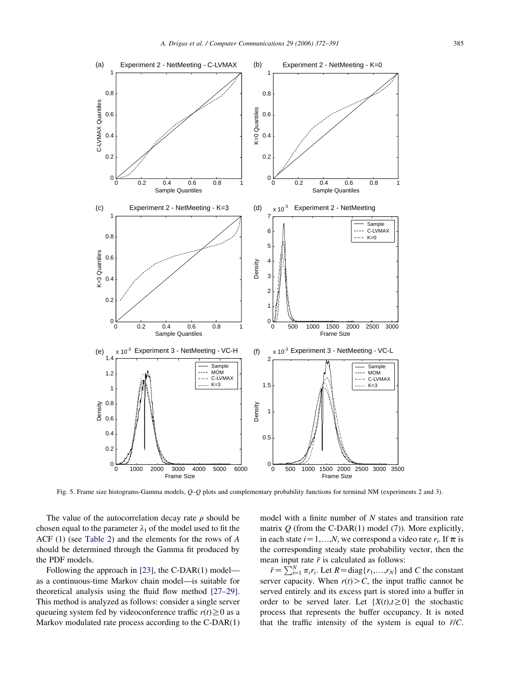<span id="page-13-0"></span>

Fig. 5. Frame size histograms-Gamma models, Q–Q plots and complementary probability functions for terminal NM (experiments 2 and 3).

The value of the autocorrelation decay rate  $\rho$  should be chosen equal to the parameter  $\lambda_1$  of the model used to fit the ACF (1) (see [Table 2](#page-7-0)) and the elements for the rows of A should be determined through the Gamma fit produced by the PDF models.

Following the approach in [\[23\],](#page-18-0) the C-DAR(1) model as a continuous-time Markov chain model—is suitable for theoretical analysis using the fluid flow method [\[27–29\]](#page-19-0). This method is analyzed as follows: consider a single server queueing system fed by videoconference traffic  $r(t) \ge 0$  as a Markov modulated rate process according to the C-DAR(1) model with a finite number of  $N$  states and transition rate matrix  $Q$  (from the C-DAR(1) model (7)). More explicitly, in each state  $i=1,...,N$ , we correspond a video rate  $r_i$ . If  $\pi$  is the corresponding steady state probability vector, then the mean input rate  $\bar{r}$  is calculated as follows:

 $\bar{r} = \sum_{i=1}^{N} \pi_i r_i$ . Let  $R = \text{diag}\{r_1, ..., r_N\}$  and C the constant server capacity. When  $r(t) > C$ , the input traffic cannot be served entirely and its excess part is stored into a buffer in order to be served later. Let  $\{X(t), t\geq0\}$  the stochastic process that represents the buffer occupancy. It is noted that the traffic intensity of the system is equal to  $\bar{r}/C$ .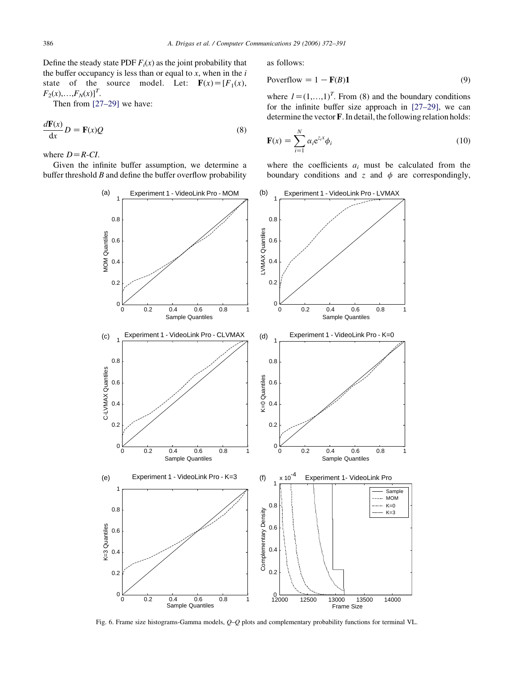Define the steady state PDF  $F_i(x)$  as the joint probability that the buffer occupancy is less than or equal to  $x$ , when in the  $i$ state of the source model. Let:  $\mathbf{F}(x) = [F_1(x),$  $F_2(x),...,F_N(x)]^T$ .

Then from [\[27–29\]](#page-19-0) we have:

$$
\frac{d\mathbf{F}(x)}{dx}D = \mathbf{F}(x)Q\tag{8}
$$

where  $D=R-CI$ .

Given the infinite buffer assumption, we determine a buffer threshold  $B$  and define the buffer overflow probability as follows:

$$
Powerflow = 1 - F(B)1
$$
 (9)

where  $I = (1,...,1)^T$ . From (8) and the boundary conditions for the infinite buffer size approach in  $[27–29]$ , we can determine the vector F. In detail, the following relation holds:

$$
\mathbf{F}(x) = \sum_{i=1}^{N} \alpha_i e^{z_i x} \phi_i
$$
 (10)

where the coefficients  $a_i$  must be calculated from the boundary conditions and  $z$  and  $\phi$  are correspondingly,



Fig. 6. Frame size histograms-Gamma models, Q–Q plots and complementary probability functions for terminal VL.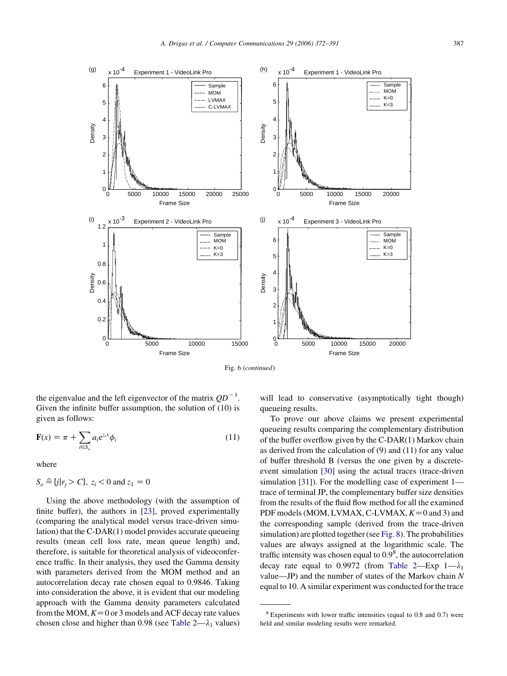

Fig. 6 (continued)

the eigenvalue and the left eigenvector of the matrix  $QD^{-1}$ . Given the infinite buffer assumption, the solution of (10) is given as follows:

$$
\mathbf{F}(x) = \pi + \sum_{i \in S_o} a_i e^{z_i x} \phi_i \tag{11}
$$

where

$$
S_o \triangleq \{j | r_j > C\}, z_i < 0 \text{ and } z_1 = 0
$$

Using the above methodology (with the assumption of finite buffer), the authors in [\[23\],](#page-18-0) proved experimentally (comparing the analytical model versus trace-driven simulation) that the C-DAR(1) model provides accurate queueing results (mean cell loss rate, mean queue length) and, therefore, is suitable for theoretical analysis of videoconference traffic. In their analysis, they used the Gamma density with parameters derived from the MOM method and an autocorrelation decay rate chosen equal to 0.9846. Taking into consideration the above, it is evident that our modeling approach with the Gamma density parameters calculated from the MOM,  $K=0$  or 3 models and ACF decay rate values chosen close and higher than 0.98 (see Table  $2-\lambda_1$  values)

will lead to conservative (asymptotically tight though) queueing results.

To prove our above claims we present experimental queueing results comparing the complementary distribution of the buffer overflow given by the C-DAR(1) Markov chain as derived from the calculation of (9) and (11) for any value of buffer threshold B (versus the one given by a discreteevent simulation [\[30\]](#page-19-0) using the actual traces (trace-driven simulation [\[31\]](#page-19-0)). For the modelling case of experiment 1 trace of terminal JP, the complementary buffer size densities from the results of the fluid flow method for all the examined PDF models (MOM, LVMAX, C-LVMAX,  $K=0$  and 3) and the corresponding sample (derived from the trace-driven simulation) are plotted together (see [Fig. 8](#page-17-0)). The probabilities values are always assigned at the logarithmic scale. The traffic intensity was chosen equal to  $0.9<sup>8</sup>$ , the autocorrelation decay rate equal to 0.9972 (from [Table 2—](#page-7-0)Exp 1— $\lambda_1$ ) value—JP) and the number of states of the Markov chain N equal to 10. A similar experiment was conducted for the trace

 $8$  Experiments with lower traffic intensities (equal to 0.8 and 0.7) were held and similar modeling results were remarked.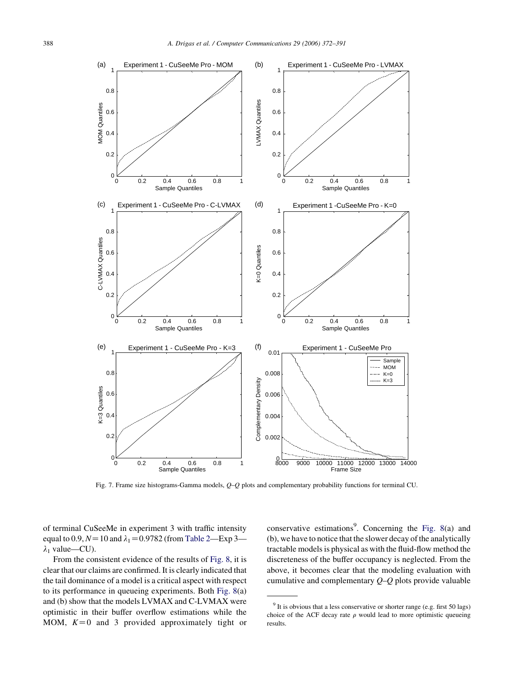

Fig. 7. Frame size histograms-Gamma models, Q–Q plots and complementary probability functions for terminal CU.

of terminal CuSeeMe in experiment 3 with traffic intensity equal to 0.9,  $N=10$  and  $\lambda_1=0.9782$  (from [Table 2—](#page-7-0)Exp 3—  $\lambda_1$  value—CU).

From the consistent evidence of the results of [Fig. 8](#page-17-0), it is clear that our claims are confirmed. It is clearly indicated that the tail dominance of a model is a critical aspect with respect to its performance in queueing experiments. Both [Fig. 8\(](#page-17-0)a) and (b) show that the models LVMAX and C-LVMAX were optimistic in their buffer overflow estimations while the MOM,  $K=0$  and 3 provided approximately tight or

conservative estimations<sup>9</sup>. Concerning the Fig.  $8(a)$  and (b), we have to notice that the slower decay of the analytically tractable models is physical as with the fluid-flow method the discreteness of the buffer occupancy is neglected. From the above, it becomes clear that the modeling evaluation with cumulative and complementary  $Q-Q$  plots provide valuable

 $9$  It is obvious that a less conservative or shorter range (e.g. first 50 lags) choice of the ACF decay rate  $\rho$  would lead to more optimistic queueing results.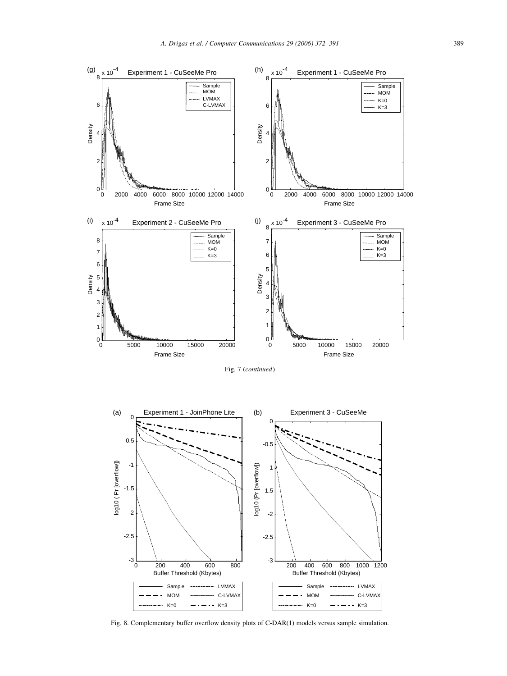<span id="page-17-0"></span>

Fig. 7 (continued)



Fig. 8. Complementary buffer overflow density plots of C-DAR(1) models versus sample simulation.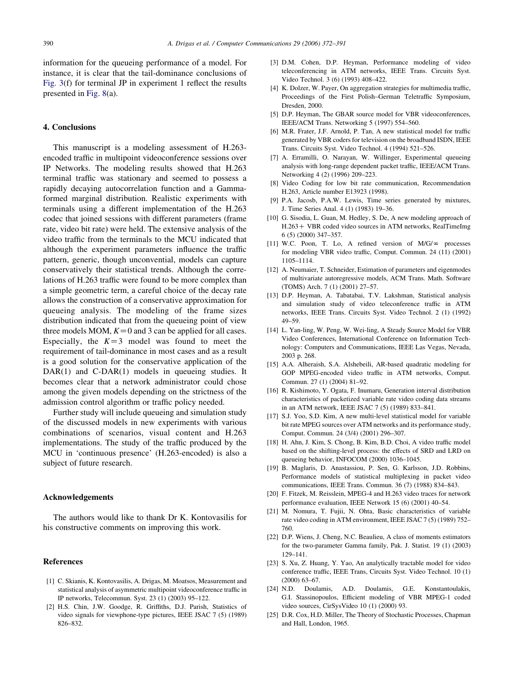<span id="page-18-0"></span>information for the queueing performance of a model. For instance, it is clear that the tail-dominance conclusions of [Fig. 3\(](#page-8-0)f) for terminal JP in experiment 1 reflect the results presented in [Fig. 8](#page-17-0)(a).

#### 4. Conclusions

This manuscript is a modeling assessment of H.263 encoded traffic in multipoint videoconference sessions over IP Networks. The modeling results showed that H.263 terminal traffic was stationary and seemed to possess a rapidly decaying autocorrelation function and a Gammaformed marginal distribution. Realistic experiments with terminals using a different implementation of the H.263 codec that joined sessions with different parameters (frame rate, video bit rate) were held. The extensive analysis of the video traffic from the terminals to the MCU indicated that although the experiment parameters influence the traffic pattern, generic, though unconvential, models can capture conservatively their statistical trends. Although the correlations of H.263 traffic were found to be more complex than a simple geometric term, a careful choice of the decay rate allows the construction of a conservative approximation for queueing analysis. The modeling of the frame sizes distribution indicated that from the queueing point of view three models MOM,  $K=0$  and 3 can be applied for all cases. Especially, the  $K=3$  model was found to meet the requirement of tail-dominance in most cases and as a result is a good solution for the conservative application of the DAR(1) and C-DAR(1) models in queueing studies. It becomes clear that a network administrator could chose among the given models depending on the strictness of the admission control algorithm or traffic policy needed.

Further study will include queueing and simulation study of the discussed models in new experiments with various combinations of scenarios, visual content and H.263 implementations. The study of the traffic produced by the MCU in 'continuous presence' (H.263-encoded) is also a subject of future research.

## Acknowledgements

The authors would like to thank Dr K. Kontovasilis for his constructive comments on improving this work.

#### References

- [1] C. Skianis, K. Kontovasilis, A. Drigas, M. Moatsos, Measurement and statistical analysis of asymmetric multipoint videoconference traffic in IP networks, Telecommun. Syst. 23 (1) (2003) 95–122.
- [2] H.S. Chin, J.W. Goodge, R. Griffiths, D.J. Parish, Statistics of video signals for viewphone-type pictures, IEEE JSAC 7 (5) (1989) 826–832.
- [3] D.M. Cohen, D.P. Heyman, Performance modeling of video teleconferencing in ATM networks, IEEE Trans. Circuits Syst. Video Technol. 3 (6) (1993) 408–422.
- [4] K. Dolzer, W. Payer, On aggregation strategies for multimedia traffic, Proceedings of the First Polish–German Teletraffic Symposium, Dresden, 2000.
- [5] D.P. Heyman, The GBAR source model for VBR videoconferences, IEEE/ACM Trans. Networking 5 (1997) 554–560.
- [6] M.R. Frater, J.F. Arnold, P. Tan, A new statistical model for traffic generated by VBR coders for television on the broadband ISDN, IEEE Trans. Circuits Syst. Video Technol. 4 (1994) 521–526.
- [7] A. Erramilli, O. Narayan, W. Willinger, Experimental queueing analysis with long-range dependent packet traffic, IEEE/ACM Trans. Networking 4 (2) (1996) 209–223.
- [8] Video Coding for low bit rate communication, Recommendation H.263, Article number E13923 (1998).
- [9] P.A. Jacosb, P.A.W. Lewis, Time series generated by mixtures, J. Time Series Anal. 4 (1) (1983) 19–36.
- [10] G. Sisodia, L. Guan, M. Hedley, S. De, A new modeling approach of H.263+ VBR coded video sources in ATM networks, RealTimeImg 6 (5) (2000) 347–357.
- [11] W.C. Poon, T. Lo, A refined version of  $M/G/\infty$  processes for modeling VBR video traffic, Comput. Commun. 24 (11) (2001) 1105–1114.
- [12] A. Neumaier, T. Schneider, Estimation of parameters and eigenmodes of multivariate autoregressive models, ACM Trans. Math. Software (TOMS) Arch. 7 (1) (2001) 27–57.
- [13] D.P. Heyman, A. Tabatabai, T.V. Lakshman, Statistical analysis and simulation study of video teleconference traffic in ATM networks, IEEE Trans. Circuits Syst. Video Technol. 2 (1) (1992) 49–59.
- [14] L. Yan-ling, W. Peng, W. Wei-ling, A Steady Source Model for VBR Video Conferences, International Conference on Information Technology: Computers and Communications, IEEE Las Vegas, Nevada, 2003 p. 268.
- [15] A.A. Alheraish, S.A. Alshebeili, AR-based quadratic modeling for GOP MPEG-encoded video traffic in ATM networks, Comput. Commun. 27 (1) (2004) 81–92.
- [16] R. Kishimoto, Y. Ogata, F. Inumaru, Generation interval distribution characteristics of packetized variable rate video coding data streams in an ATM network, IEEE JSAC 7 (5) (1989) 833–841.
- [17] S.J. Yoo, S.D. Kim, A new multi-level statistical model for variable bit rate MPEG sources over ATM networks and its performance study, Comput. Commun. 24 (3/4) (2001) 296–307.
- [18] H. Ahn, J. Kim, S. Chong, B. Kim, B.D. Choi, A video traffic model based on the shifting-level process: the effects of SRD and LRD on queueing behavior, INFOCOM (2000) 1036–1045.
- [19] B. Maglaris, D. Anastassiou, P. Sen, G. Karlsson, J.D. Robbins, Performance models of statistical multiplexing in packet video communications, IEEE Trans. Commun. 36 (7) (1988) 834–843.
- [20] F. Fitzek, M. Reisslein, MPEG-4 and H.263 video traces for network performance evaluation, IEEE Network 15 (6) (2001) 40–54.
- [21] M. Nomura, T. Fujii, N. Ohta, Basic characteristics of variable rate video coding in ATM environment, IEEE JSAC 7 (5) (1989) 752– 760.
- [22] D.P. Wiens, J. Cheng, N.C. Beaulieu, A class of moments estimators for the two-parameter Gamma family, Pak. J. Statist. 19 (1) (2003) 129–141.
- [23] S. Xu, Z. Huang, Y. Yao, An analytically tractable model for video conference traffic, IEEE Trans, Circuits Syst. Video Technol. 10 (1) (2000) 63–67.
- [24] N.D. Doulamis, A.D. Doulamis, G.E. Konstantoulakis, G.I. Stassinopoulos, Efficient modeling of VBR MPEG-1 coded video sources, CirSysVideo 10 (1) (2000) 93.
- [25] D.R. Cox, H.D. Miller, The Theory of Stochastic Processes, Chapman and Hall, London, 1965.